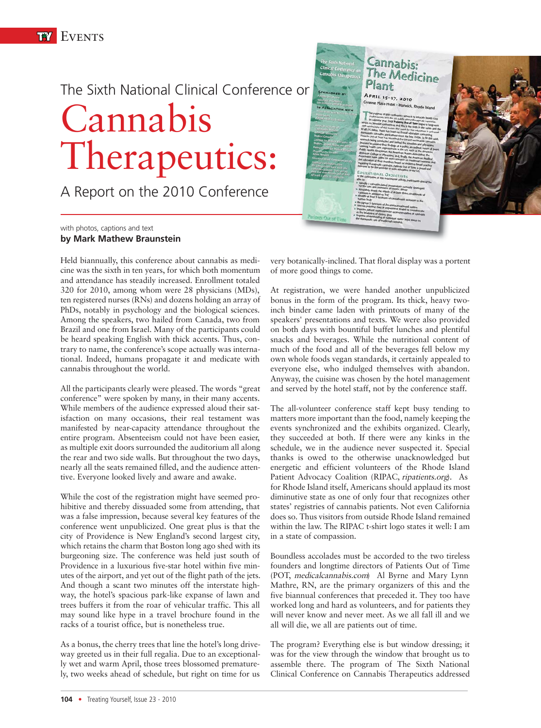# The Sixth National Clinical Conference on Cannabis Therapeutics:

A Report on the 2010 Conference

with photos, captions and text **by Mark Mathew Braunstein**

Held biannually, this conference about cannabis as medicine was the sixth in ten years, for which both momentum and attendance has steadily increased. Enrollment totaled 320 for 2010, among whom were 28 physicians (MDs), ten registered nurses (RNs) and dozens holding an array of PhDs, notably in psychology and the biological sciences. Among the speakers, two hailed from Canada, two from Brazil and one from Israel. Many of the participants could be heard speaking English with thick accents. Thus, contrary to name, the conference's scope actually was international. Indeed, humans propagate it and medicate with cannabis throughout the world.

All the participants clearly were pleased. The words "great conference" were spoken by many, in their many accents. While members of the audience expressed aloud their satisfaction on many occasions, their real testament was manifested by near-capacity attendance throughout the entire program. Absenteeism could not have been easier, as multiple exit doors surrounded the auditorium all along the rear and two side walls. But throughout the two days, nearly all the seats remained filled, and the audience attentive. Everyone looked lively and aware and awake.

While the cost of the registration might have seemed prohibitive and thereby dissuaded some from attending, that was a false impression, because several key features of the conference went unpublicized. One great plus is that the city of Providence is New England's second largest city, which retains the charm that Boston long ago shed with its burgeoning size. The conference was held just south of Providence in a luxurious five-star hotel within five minutes of the airport, and yet out of the flight path of the jets. And though a scant two minutes off the interstate highway, the hotel's spacious park-like expanse of lawn and trees buffers it from the roar of vehicular traffic. This all may sound like hype in a travel brochure found in the racks of a tourist office, but is nonetheless true.

As a bonus, the cherry trees that line the hotel's long driveway greeted us in their full regalia. Due to an exceptionally wet and warm April, those trees blossomed prematurely, two weeks ahead of schedule, but right on time for us



very botanically-inclined. That floral display was a portent of more good things to come.

At registration, we were handed another unpublicized bonus in the form of the program. Its thick, heavy twoinch binder came laden with printouts of many of the speakers' presentations and texts. We were also provided on both days with bountiful buffet lunches and plentiful snacks and beverages. While the nutritional content of much of the food and all of the beverages fell below my own whole foods vegan standards, it certainly appealed to everyone else, who indulged themselves with abandon. Anyway, the cuisine was chosen by the hotel management and served by the hotel staff, not by the conference staff.

The all-volunteer conference staff kept busy tending to matters more important than the food, namely keeping the events synchronized and the exhibits organized. Clearly, they succeeded at both. If there were any kinks in the schedule, we in the audience never suspected it. Special thanks is owed to the otherwise unacknowledged but energetic and efficient volunteers of the Rhode Island Patient Advocacy Coalition (RIPAC, ripatients.org). As for Rhode Island itself, Americans should applaud its most diminutive state as one of only four that recognizes other states' registries of cannabis patients. Not even California does so. Thus visitors from outside Rhode Island remained within the law. The RIPAC t-shirt logo states it well: I am in a state of compassion.

Boundless accolades must be accorded to the two tireless founders and longtime directors of Patients Out of Time (POT, medicalcannabis.com) Al Byrne and Mary Lynn Mathre, RN, are the primary organizers of this and the five biannual conferences that preceded it. They too have worked long and hard as volunteers, and for patients they will never know and never meet. As we all fall ill and we all will die, we all are patients out of time.

The program? Everything else is but window dressing; it was for the view through the window that brought us to assemble there. The program of The Sixth National Clinical Conference on Cannabis Therapeutics addressed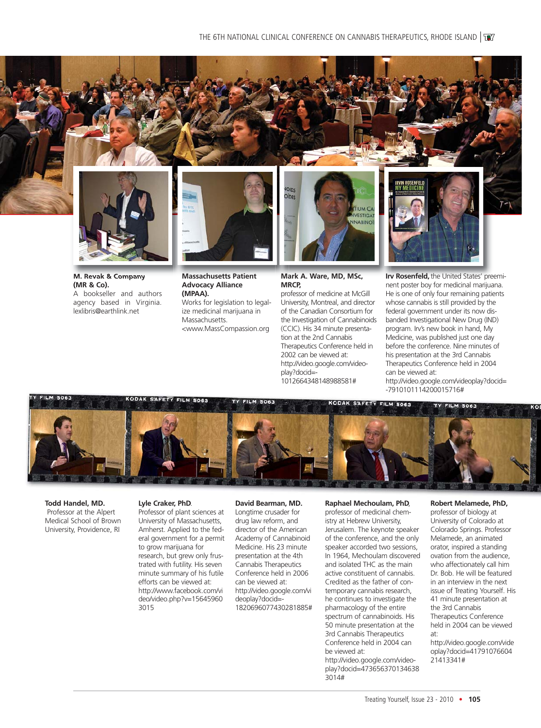



**M. Revak & Company (MR & Co).** A bookseller and authors agency based in Virginia. lexlibris@earthlink.net



**Massachusetts Patient Advocacy Alliance (MPAA).** 

Works for legislation to legalize medicinal marijuana in Massachusetts. <www.MassCompassion.org



#### **Mark A. Ware, MD, MSc, MRCP,**

professor of medicine at McGill University, Montreal, and director of the Canadian Consortium for the Investigation of Cannabinoids (CCIC). His 34 minute presentation at the 2nd Cannabis Therapeutics Conference held in 2002 can be viewed at: http://video.google.com/videoplay?docid=- 1012664348148988581#



**Irv Rosenfeld,** the United States' preeminent poster boy for medicinal marijuana. He is one of only four remaining patients whose cannabis is still provided by the federal government under its now disbanded Investigational New Drug (IND) program. Irv's new book in hand, My Medicine, was published just one day before the conference. Nine minutes of his presentation at the 3rd Cannabis Therapeutics Conference held in 2004 can be viewed at:

http://video.google.com/videoplay?docid= -7910101114200015716#



**Todd Handel, MD.** Professor at the Alpert Medical School of Brown University, Providence, RI

#### **Lyle Craker, PhD**.

Professor of plant sciences at University of Massachusetts, Amherst. Applied to the federal government for a permit to grow marijuana for research, but grew only frustrated with futility. His seven minute summary of his futile efforts can be viewed at: http://www.facebook.com/vi deo/video.php?v=15645960 3015

## **David Bearman, MD.**

Longtime crusader for drug law reform, and director of the American Academy of Cannabinoid Medicine. His 23 minute presentation at the 4th Cannabis Therapeutics Conference held in 2006 can be viewed at: http://video.google.com/vi deoplay?docid=- 1820696077430281885#

#### **Raphael Mechoulam, PhD**,

professor of medicinal chemistry at Hebrew University, Jerusalem. The keynote speaker of the conference, and the only speaker accorded two sessions, In 1964, Mechoulam discovered and isolated THC as the main active constituent of cannabis. Credited as the father of contemporary cannabis research, he continues to investigate the pharmacology of the entire spectrum of cannabinoids. His 50 minute presentation at the 3rd Cannabis Therapeutics Conference held in 2004 can be viewed at: http://video.google.com/videoplay?docid=473656370134638 3014#

## **Robert Melamede, PhD,**

professor of biology at University of Colorado at Colorado Springs. Professor Melamede, an animated orator, inspired a standing ovation from the audience, who affectionately call him Dr. Bob. He will be featured in an interview in the next issue of Treating Yourself. His 41 minute presentation at the 3rd Cannabis Therapeutics Conference held in 2004 can be viewed at: http://video.google.com/vide oplay?docid=41791076604 21413341#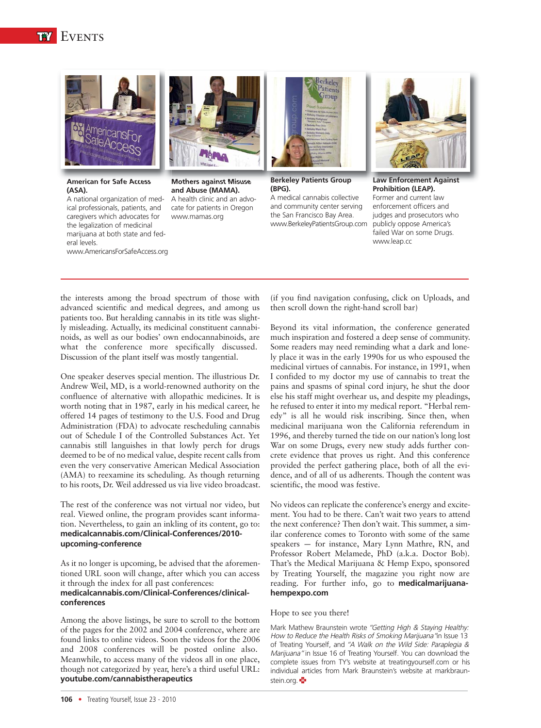

**American for Safe Access (ASA).**

A national organization of medical professionals, patients, and caregivers which advocates for the legalization of medicinal marijuana at both state and federal levels. www.AmericansForSafeAccess.org



**Mothers against Misuse and Abuse (MAMA).**  A health clinic and an advocate for patients in Oregon www.mamas.org



**Berkeley Patients Group (BPG).**  A medical cannabis collective and community center serving the San Francisco Bay Area.

www.BerkeleyPatientsGroup.com



**Law Enforcement Against Prohibition (LEAP).** Former and current law enforcement officers and judges and prosecutors who publicly oppose America's failed War on some Drugs. www.leap.cc

the interests among the broad spectrum of those with advanced scientific and medical degrees, and among us patients too. But heralding cannabis in its title was slightly misleading. Actually, its medicinal constituent cannabinoids, as well as our bodies' own endocannabinoids, are what the conference more specifically discussed. Discussion of the plant itself was mostly tangential.

One speaker deserves special mention. The illustrious Dr. Andrew Weil, MD, is a world-renowned authority on the confluence of alternative with allopathic medicines. It is worth noting that in 1987, early in his medical career, he offered 14 pages of testimony to the U.S. Food and Drug Administration (FDA) to advocate rescheduling cannabis out of Schedule I of the Controlled Substances Act. Yet cannabis still languishes in that lowly perch for drugs deemed to be of no medical value, despite recent calls from even the very conservative American Medical Association (AMA) to reexamine its scheduling. As though returning to his roots, Dr. Weil addressed us via live video broadcast.

The rest of the conference was not virtual nor video, but real. Viewed online, the program provides scant information. Nevertheless, to gain an inkling of its content, go to: **medicalcannabis.com/Clinical-Conferences/2010 upcoming-conference**

As it no longer is upcoming, be advised that the aforementioned URL soon will change, after which you can access it through the index for all past conferences:

## **medicalcannabis.com/Clinical-Conferences/clinicalconferences**

Among the above listings, be sure to scroll to the bottom of the pages for the 2002 and 2004 conference, where are found links to online videos. Soon the videos for the 2006 and 2008 conferences will be posted online also. Meanwhile, to access many of the videos all in one place, though not categorized by year, here's a third useful URL: **youtube.com/cannabistherapeutics** 

(if you find navigation confusing, click on Uploads, and then scroll down the right-hand scroll bar)

Beyond its vital information, the conference generated much inspiration and fostered a deep sense of community. Some readers may need reminding what a dark and lonely place it was in the early 1990s for us who espoused the medicinal virtues of cannabis. For instance, in 1991, when I confided to my doctor my use of cannabis to treat the pains and spasms of spinal cord injury, he shut the door else his staff might overhear us, and despite my pleadings, he refused to enter it into my medical report. "Herbal remedy" is all he would risk inscribing. Since then, when medicinal marijuana won the California referendum in 1996, and thereby turned the tide on our nation's long lost War on some Drugs, every new study adds further concrete evidence that proves us right. And this conference provided the perfect gathering place, both of all the evidence, and of all of us adherents. Though the content was scientific, the mood was festive.

No videos can replicate the conference's energy and excitement. You had to be there. Can't wait two years to attend the next conference? Then don't wait. This summer, a similar conference comes to Toronto with some of the same speakers — for instance, Mary Lynn Mathre, RN, and Professor Robert Melamede, PhD (a.k.a. Doctor Bob). That's the Medical Marijuana & Hemp Expo, sponsored by Treating Yourself, the magazine you right now are reading. For further info, go to **medicalmarijuanahempexpo.com**

## Hope to see you there!

Mark Mathew Braunstein wrote "Getting High & Staying Healthy: How to Reduce the Health Risks of Smoking Marijuana"in Issue 13 of Treating Yourself, and "A Walk on the Wild Side: Paraplegia & Marijuana" in Issue 16 of Treating Yourself. You can download the complete issues from TY's website at treatingyourself.com or his individual articles from Mark Braunstein's website at markbraunstein.org.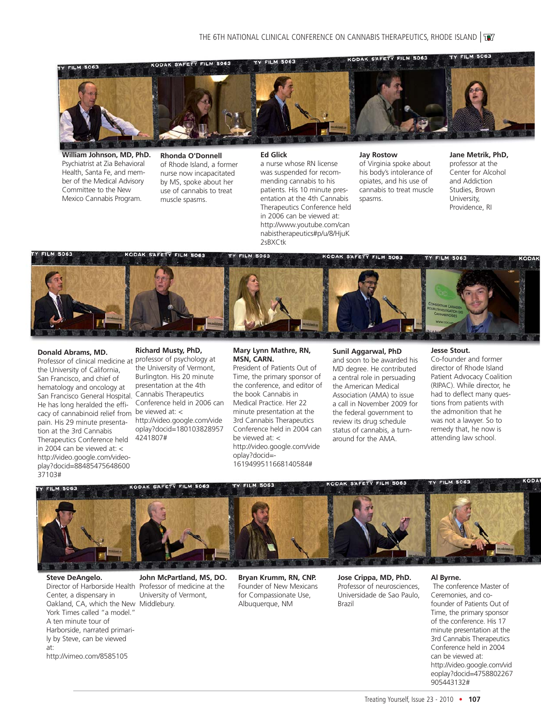

**William Johnson, MD, PhD.** Psychiatrist at Zia Behavioral Health, Santa Fe, and member of the Medical Advisory Committee to the New Mexico Cannabis Program.

**Rhonda O'Donnell**  of Rhode Island, a former nurse now incapacitated by MS, spoke about her use of cannabis to treat muscle spasms.

#### **Ed Glick**

a nurse whose RN license was suspended for recommending cannabis to his patients. His 10 minute presentation at the 4th Cannabis Therapeutics Conference held in 2006 can be viewed at: http://www.youtube.com/can nabistherapeutics#p/u/8/HjuK 2sBXCtk

#### **Jay Rostow**

of Virginia spoke about his body's intolerance of opiates, and his use of cannabis to treat muscle spasms

**Jane Metrik, PhD,**  professor at the Center for Alcohol and Addiction Studies, Brown University, Providence, RI



#### **Donald Abrams, MD.**

Professor of clinical medicine at professor of psychology at the University of California, San Francisco, and chief of hematology and oncology at San Francisco General Hospital. He has long heralded the efficacy of cannabinoid relief from pain. His 29 minute presentation at the 3rd Cannabis Therapeutics Conference held in 2004 can be viewed at: < http://video.google.com/videoplay?docid=88485475648600 37103#

## **Richard Musty, PhD,**  the University of Vermont, Burlington. His 20 minute presentation at the 4th

Cannabis Therapeutics Conference held in 2006 can be viewed at: < http://video.google.com/vide oplay?docid=180103828957 4241807#

#### **Mary Lynn Mathre, RN, MSN, CARN.**

President of Patients Out of Time, the primary sponsor of the conference, and editor of the book Cannabis in Medical Practice. Her 22 minute presentation at the 3rd Cannabis Therapeutics Conference held in 2004 can be viewed at: < http://video.google.com/vide oplay?docid=- 1619499511668140584#

## **Sunil Aggarwal, PhD** and soon to be awarded his MD degree. He contributed

a central role in persuading the American Medical Association (AMA) to issue a call in November 2009 for the federal government to review its drug schedule status of cannabis, a turnaround for the AMA.

#### **Jesse Stout.**

Co-founder and former director of Rhode Island Patient Advocacy Coalition (RIPAC). While director, he had to deflect many questions from patients with the admonition that he was not a lawyer. So to remedy that, he now is attending law school.



# **Steve DeAngelo.**  Center, a dispensary in

Oakland, CA, which the New Middlebury. York Times called "a model." A ten minute tour of Harborside, narrated primarily by Steve, can be viewed at: http://vimeo.com/8585105

**John McPartland, MS, DO.** Director of Harborside Health Professor of medicine at the University of Vermont,

**Bryan Krumm, RN, CNP.** Founder of New Mexicans for Compassionate Use, Albuquerque, NM

**Jose Crippa, MD, PhD.** Professor of neurosciences, Universidade de Sao Paulo, Brazil

#### **Al Byrne.**

The conference Master of Ceremonies, and cofounder of Patients Out of Time, the primary sponsor of the conference. His 17 minute presentation at the 3rd Cannabis Therapeutics Conference held in 2004 can be viewed at: http://video.google.com/vid eoplay?docid=4758802267 905443132#